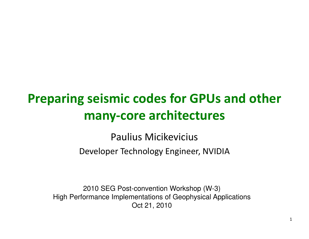### Preparing seismic codes for GPUs and other many-core architectures

Paulius MicikeviciusDeveloper Technology Engineer, NVIDIA

2010 SEG Post-convention Workshop (W-3) High Performance Implementations of Geophysical ApplicationsOct 21, 2010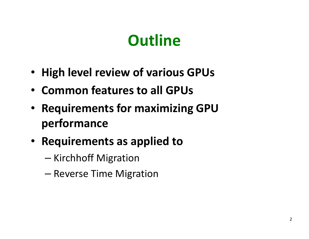# **Outline**

- High level review of various GPUs
- Common features to all GPUs
- Requirements for maximizing GPU performance
- Requirements as applied to
	- –— Kirchhoff Migration
	- –— Reverse Time Migration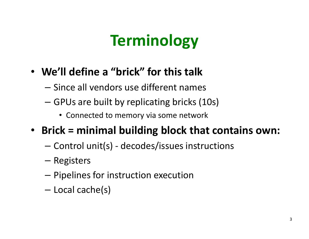# **Terminology**

- We'll define a "brick" for this talk
	- $-$  Since all vendors use different names
	- $-$  GPUs are built by replicating bricks (10s)
		- Connected to memory via some network
- Brick = minimal building block that contains own:
	- and the state of the Control unit(s) - decodes/issues instructions
	- and the state of the — Registers
	- and the state of the  $-$  Pipelines for instruction execution
	- and the state of the — Local cache(s)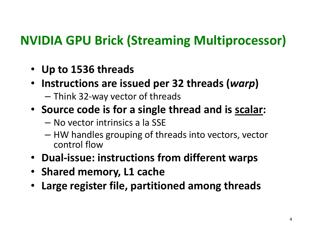### NVIDIA GPU Brick (Streaming Multiprocessor)

- Up to 1536 threads
- Instructions are issued per 32 threads (warp)
	- $-$  Think 32-way vector of threads
- Source code is for a single thread and is **scalar**:
	- and the state of the No vector intrinsics a la SSE
	- HW handles grouping of threads into vectors, vector control flow
- Dual-issue: instructions from different warps
- Shared memory, L1 cache
- Large register file, partitioned among threads•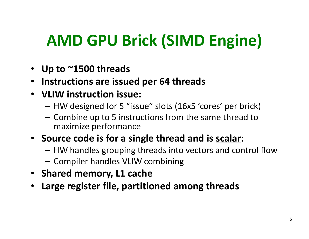# AMD GPU Brick (SIMD Engine)

- Up to ~1500 threads
- Instructions are issued per 64 threads
- VLIW instruction issue:
	- –HW designed for 5 "issue" slots (16x5 'cores' per brick)
	- –- Combine up to 5 instructions from the same thread to maximize performance
- Source code is for a single thread and is scalar:
	- – $-$  HW handles grouping threads into vectors and control flow
	- – $-$  Compiler handles VLIW combining
- Shared memory, L1 cache
- Large register file, partitioned among threads•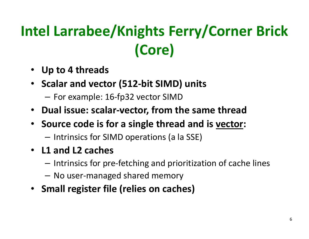# Intel Larrabee/Knights Ferry/Corner Brick (Core)

- Up to 4 threads
- Scalar and vector (512-bit SIMD) units
	- – $-$  For example: 16-fp32 vector SIMD
- Dual issue: scalar-vector, from the same thread
- Source code is for a single thread and is **vector**:
	- – $-$  Intrinsics for SIMD operations (a la SSE)
- L1 and L2 caches
	- – $-$  Intrinsics for pre-fetching and prioritization of cache lines
	- –No user-managed shared memory
- Small register file (relies on caches)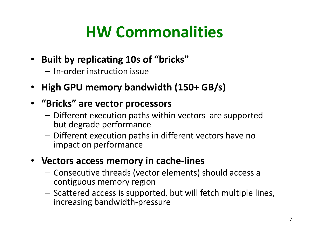# HW Commonalities

- Built by replicating 10s of "bricks"
	- – $-$  In-order instruction issue
- •High GPU memory bandwidth (150+ GB/s)

### • "Bricks" are vector processors

- –- Different execution paths within vectors are supported but degrade performance
- –- Different execution paths in different vectors have no impact on performance

#### • Vectors access memory in cache-lines

- –- Consecutive threads (vector elements) should access a contiguous memory region
- –- Scattered access is supported, but will fetch multiple lines, increasing bandwidth-pressure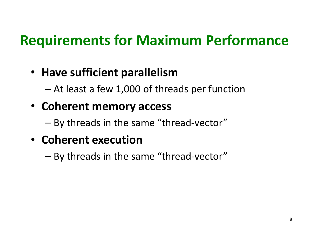### Requirements for Maximum Performance

### • Have sufficient parallelism

 $-$  At loset a tow 1 (100 ot thr At least a few 1,000 of threads per function

• Coherent memory access

–By threads in the same "thread -vector"

### • Coherent execution

–By threads in the same "thread-vector"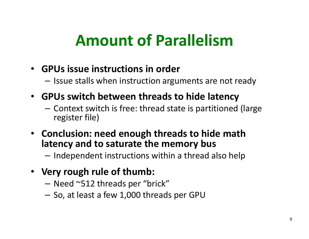# Amount of Parallelism

- GPUs issue instructions in order
	- – $-$  Issue stalls when instruction arguments are not ready
- GPUs switch between threads to hide latency
	- –- Context switch is free: thread state is partitioned (large<br>marition file) register file)
- Conclusion: need enough threads to hide math latency and to saturate the memory bus
	- – $-$  Independent instructions within a thread also help
- Very rough rule of thumb:
	- –Need ~512 threads per "brick"
	- – $-$  So, at least a few 1,000 threads per GPU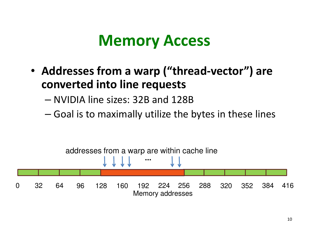### Memory Access

- Addresses from a warp ("thread-vector") are converted into line requests
	- –NVIDIA line sizes: 32B and 128B
	- – $-$  Goal is to maximally utilize the bytes in these lines

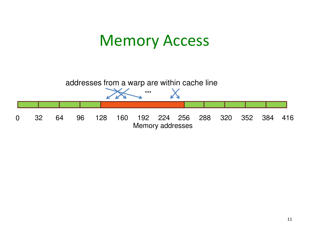### Memory Access

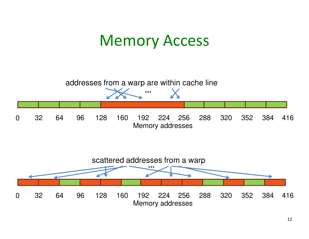### Memory Access



12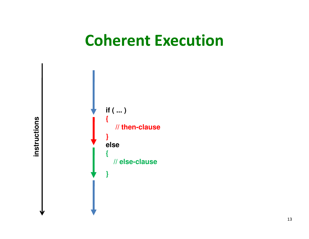### Coherent Execution



instructions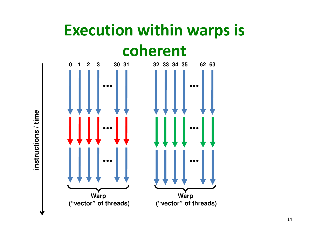### Execution within warps is coherent



instructions / time **instructions / time**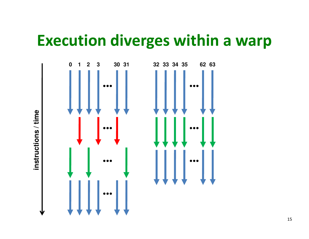### Execution diverges within a warp

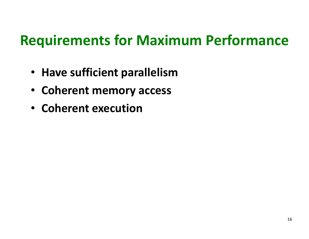### Requirements for Maximum Performance

- Have sufficient parallelism
- Coherent memory access
- Coherent execution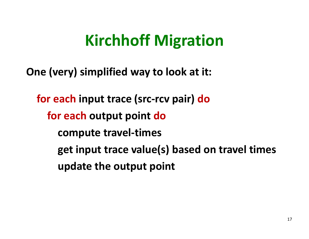# Kirchhoff Migration

One (very) simplified way to look at it:

for each input trace (src-rcv pair) dofor each output point docompute travel-timesget input trace value(s) based on travel timesupdate the output point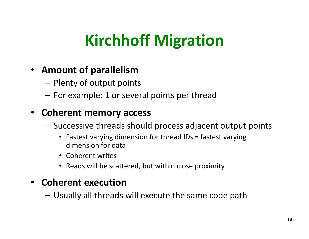# Kirchhoff Migration

#### • Amount of parallelism

- $=$  PIANTY OF OUTPUT DOL  $-$  Plenty of output points
- – $-$  For example: 1 or several points per thread

#### • Coherent memory access

- – $-$  Successive threads should process adjacent output points
	- Fastest varying dimension for thread IDs = fastest varying dimension for data
	- Coherent writes
	- Reads will be scattered, but within close proximity

#### • Coherent execution

– $-$  Usually all threads will execute the same code path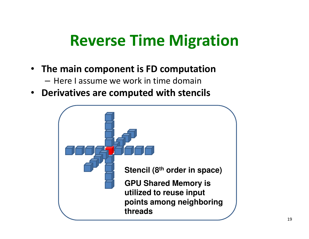### Reverse Time Migration

- The main component is FD computation
	- – $-$  Here I assume we work in time domain
- Derivatives are computed with stencils

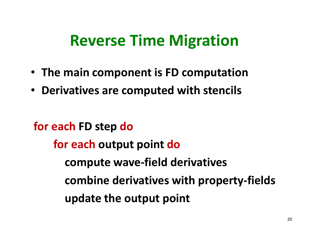### Reverse Time Migration

- The main component is FD computation
- Derivatives are computed with stencils

for each FD step dofor each output point docompute wave-field derivativescombine derivatives with property-fieldsupdate the output point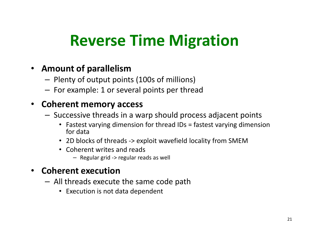# Reverse Time Migration

#### • Amount of parallelism

- – $-$  Plenty of output points (100s of millions)
- $-$  For example: 1 or several points per thread

#### • Coherent memory access

- –- Successive threads in a warp should process adjacent points
	- Fastest varying dimension for thread IDs = fastest varying dimension for data
	- 2D blocks of threads -> exploit wavefield locality from SMEM
	- Coherent writes and reads
		- Regular grid -> regular reads as well

#### • Coherent execution

- All thraads avacut All threads execute the same code path
	- Execution is not data dependent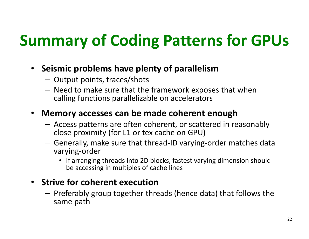# Summary of Coding Patterns for GPUs

- Seismic problems have plenty of parallelism
	- Output points, traces/shots
	- Need to make sure that the framework exposes that when calling functions parallelizable on accelerators

#### $\bullet$ Memory accesses can be made coherent enough

- $-$  Access natterns are often coherent or scattered in  $\epsilon$ - Access patterns are often coherent, or scattered in reasonably close proximity (for L1 or tex cache on GPU)
- Generally, make sure that thread-ID varying-order matches data varying-order
	- If arranging threads into 2D blocks, fastest varying dimension should be accessing in multiples of cache lines

#### • Strive for coherent execution

— Drafarahly groun togathar thi - Preferably group together threads (hence data) that follows the same path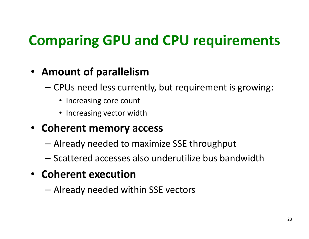### Comparing GPU and CPU requirements

### • Amount of parallelism

- CDI la ngad laca curra  $-$  CPUs need less currently, but requirement is growing:
	- Increasing core count
	- Increasing vector width

### • Coherent memory access

- Already needed to maximize SSE throughput
- $-$  Scattered accesses also underutilize bus bandwidth

### • Coherent execution

and the state of the Already needed within SSE vectors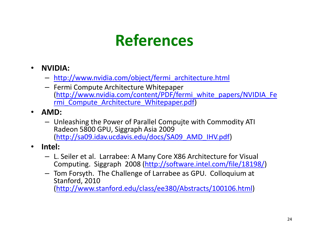# References

- • NVIDIA:
	- **Links of the Company** http://www.nvidia.com/object/fermi\_architecture.html
	- Fermi Compute Architecture Whitepaper (http://www.nvidia.com/content/PDF/fermi\_white\_papers/NVIDIA\_Fermi\_Compute\_Architecture\_Whitepaper.pdf)
- • AMD:
	- Unleashing the Power of Parallel Compujte with Commodity ATI Radeon 5800 GPU, Siggraph Asia 2009 (http://sa09.idav.ucdavis.edu/docs/SA09\_AMD\_IHV.pdf)
- • Intel:
	- L. Seiler et al. Larrabee: A Many Core X86 Architecture for Visual Computing. Siggraph 2008 (http://software.intel.com/file/18198/)
	- Tom Forsyth. The Challenge of Larrabee as GPU. Colloquium at Stanford, 2010

(http://www.stanford.edu/class/ee380/Abstracts/100106.html)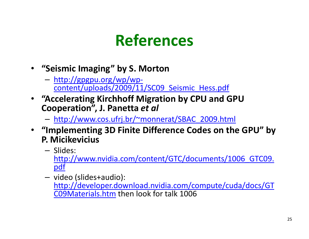### References

- "Seismic Imaging" by S. Morton
	- http://gpgpu.org/wp/wpcontent/uploads/2009/11/SC09\_Seismic\_Hess.pdf
- "Accelerating Kirchhoff Migration by CPU and GPU Cooperation", J. Panetta et al
	- http://www.cos.ufrj.br/~monnerat/SBAC\_2009.html
- "Implementing 3D Finite Difference Codes on the GPU" by P. Micikevicius
	- Slides:<br>Pattres / / http://www.nvidia.com/content/GTC/documents/1006\_GTC09.pdf
	- video (slides+audio): http://developer.download.nvidia.com/compute/cuda/docs/GTC09Materials.htm then look for talk 1006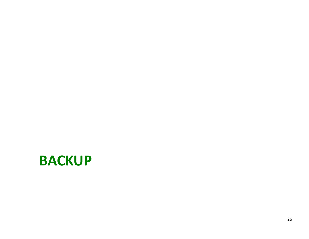### **BACKUP**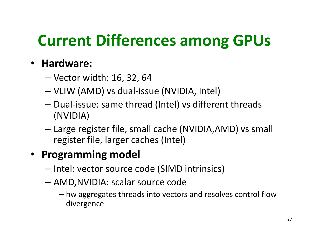# Current Differences among GPUs

### • Hardware:

- Vector width: 16, 32, 64
- VLIW (AMD) vs dual-issue (NVIDIA, Intel)
- and the state of the Dual-issue: same thread (Intel) vs different threads (NVIDIA)
- Large register file, small cache (NVIDIA,AMD) vs small register file, larger caches (Intel)

### • Programming model

- Intel: vector source code (SIMD intrinsics)
- and the state of the AMD,NVIDIA: scalar source code
	- hw aggregates threads into vectors and resolves control flow divergence